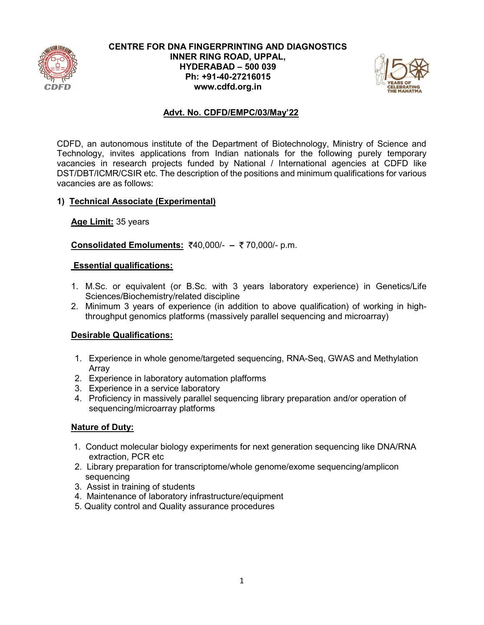

### CENTRE FOR DNA FINGERPRINTING AND DIAGNOSTICS INNER RING ROAD, UPPAL, HYDERABAD – 500 039 Ph: +91-40-27216015 www.cdfd.org.in



# Advt. No. CDFD/EMPC/03/May'22

CDFD, an autonomous institute of the Department of Biotechnology, Ministry of Science and Technology, invites applications from Indian nationals for the following purely temporary vacancies in research projects funded by National / International agencies at CDFD like DST/DBT/ICMR/CSIR etc. The description of the positions and minimum qualifications for various vacancies are as follows:

### 1) Technical Associate (Experimental)

Age Limit: 35 years

Consolidated Emoluments: ₹40,000/- - ₹70,000/- p.m.

### Essential qualifications:

- 1. M.Sc. or equivalent (or B.Sc. with 3 years laboratory experience) in Genetics/Life Sciences/Biochemistry/related discipline
- 2. Minimum 3 years of experience (in addition to above qualification) of working in highthroughput genomics platforms (massively parallel sequencing and microarray)

# Desirable Qualifications:

- 1. Experience in whole genome/targeted sequencing, RNA-Seq, GWAS and Methylation Array
- 2. Experience in laboratory automation plafforms
- 3. Experience in a service laboratory
- 4. Proficiency in massively parallel sequencing library preparation and/or operation of sequencing/microarray platforms

- 1. Conduct molecular biology experiments for next generation sequencing like DNA/RNA extraction, PCR etc
- 2. Library preparation for transcriptome/whole genome/exome sequencing/amplicon sequencing
- 3. Assist in training of students
- 4. Maintenance of laboratory infrastructure/equipment
- 5. Quality control and Quality assurance procedures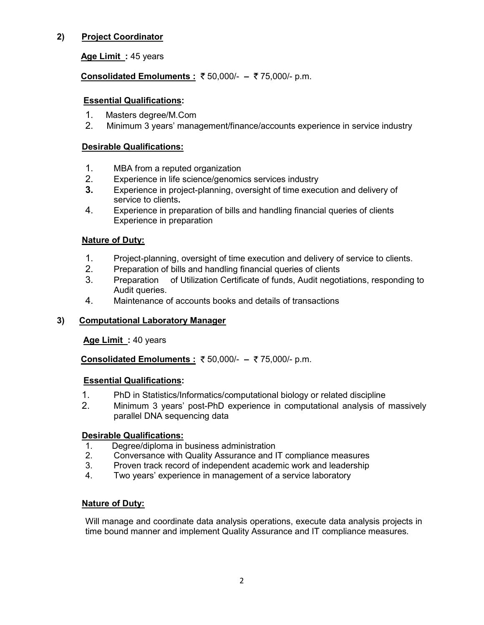# 2) Project Coordinator

Age Limit : 45 years

# Consolidated Emoluments : ₹50,000/- – ₹75,000/- p.m.

## Essential Qualifications:

- 1. Masters degree/M.Com
- 2. Minimum 3 years' management/finance/accounts experience in service industry

# Desirable Qualifications:

- 1. MBA from a reputed organization
- 2. Experience in life science/genomics services industry
- 3. Experience in project-planning, oversight of time execution and delivery of service to clients.
- 4. Experience in preparation of bills and handling financial queries of clients Experience in preparation

# **Nature of Duty:**

- 1. Project-planning, oversight of time execution and delivery of service to clients.
- 2. Preparation of bills and handling financial queries of clients
- 3. Preparation of Utilization Certificate of funds, Audit negotiations, responding to Audit queries.
- 4. Maintenance of accounts books and details of transactions

# 3) Computational Laboratory Manager

### Age Limit: 40 years

Consolidated Emoluments : ₹50,000/- - ₹75,000/- p.m.

### Essential Qualifications:

- 1. PhD in Statistics/Informatics/computational biology or related discipline
- 2. Minimum 3 years' post-PhD experience in computational analysis of massively parallel DNA sequencing data

### Desirable Qualifications:

- 1. Degree/diploma in business administration
- 2. Conversance with Quality Assurance and IT compliance measures
- 3. Proven track record of independent academic work and leadership
- 4. Two years' experience in management of a service laboratory

### **Nature of Duty:**

Will manage and coordinate data analysis operations, execute data analysis projects in time bound manner and implement Quality Assurance and IT compliance measures.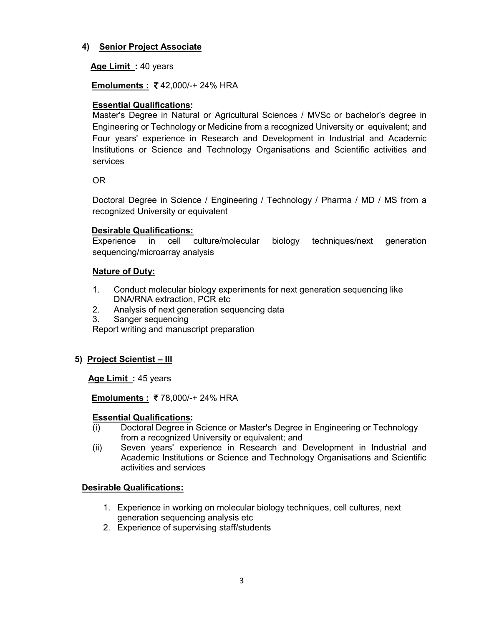# 4) Senior Project Associate

# Age Limit : 40 years

Emoluments : ₹42,000/-+24% HRA

# Essential Qualifications:

Master's Degree in Natural or Agricultural Sciences / MVSc or bachelor's degree in Engineering or Technology or Medicine from a recognized University or equivalent; and Four years' experience in Research and Development in Industrial and Academic Institutions or Science and Technology Organisations and Scientific activities and services

# OR

Doctoral Degree in Science / Engineering / Technology / Pharma / MD / MS from a recognized University or equivalent

# Desirable Qualifications:

Experience in cell culture/molecular biology techniques/next generation sequencing/microarray analysis

# Nature of Duty:

- 1. Conduct molecular biology experiments for next generation sequencing like DNA/RNA extraction, PCR etc
- 2. Analysis of next generation sequencing data
- 3. Sanger sequencing

Report writing and manuscript preparation

# 5) Project Scientist – III

Age Limit: 45 years

**Emoluments : ₹78,000/-+24% HRA** 

### Essential Qualifications:

- (i) Doctoral Degree in Science or Master's Degree in Engineering or Technology from a recognized University or equivalent; and
- (ii) Seven years' experience in Research and Development in Industrial and Academic Institutions or Science and Technology Organisations and Scientific activities and services

# Desirable Qualifications:

- 1. Experience in working on molecular biology techniques, cell cultures, next generation sequencing analysis etc
- 2. Experience of supervising staff/students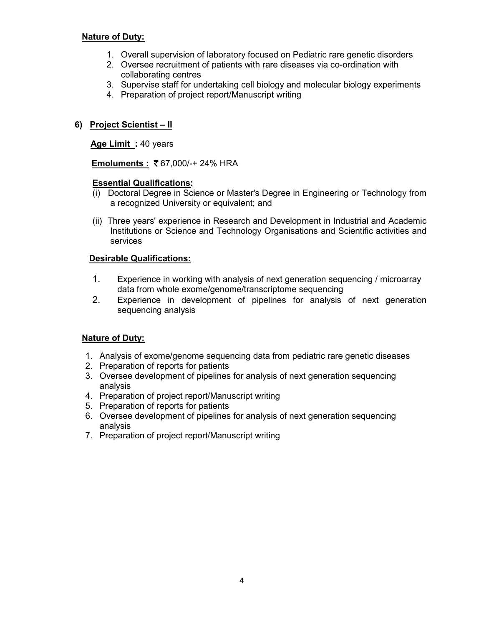# Nature of Duty:

- 1. Overall supervision of laboratory focused on Pediatric rare genetic disorders
- 2. Oversee recruitment of patients with rare diseases via co-ordination with collaborating centres
- 3. Supervise staff for undertaking cell biology and molecular biology experiments
- 4. Preparation of project report/Manuscript writing

# 6) Project Scientist – II

### Age Limit : 40 years

Emoluments : 67,000/-+ 24% HRA

### Essential Qualifications:

- (i) Doctoral Degree in Science or Master's Degree in Engineering or Technology from a recognized University or equivalent; and
- (ii) Three years' experience in Research and Development in Industrial and Academic Institutions or Science and Technology Organisations and Scientific activities and services

# Desirable Qualifications:

- 1. Experience in working with analysis of next generation sequencing / microarray data from whole exome/genome/transcriptome sequencing
- 2. Experience in development of pipelines for analysis of next generation sequencing analysis

- 1. Analysis of exome/genome sequencing data from pediatric rare genetic diseases
- 2. Preparation of reports for patients
- 3. Oversee development of pipelines for analysis of next generation sequencing analysis
- 4. Preparation of project report/Manuscript writing
- 5. Preparation of reports for patients
- 6. Oversee development of pipelines for analysis of next generation sequencing analysis
- 7. Preparation of project report/Manuscript writing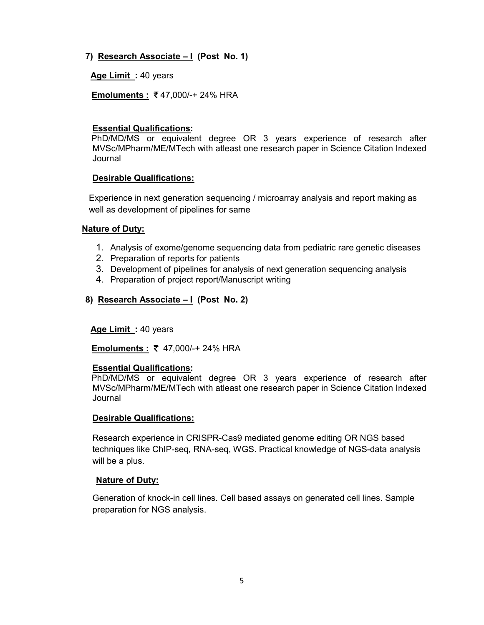7) Research Associate - I (Post No. 1)

Age Limit: 40 years

Emoluments : 47,000/-+ 24% HRA

# Essential Qualifications:

 PhD/MD/MS or equivalent degree OR 3 years experience of research after MVSc/MPharm/ME/MTech with atleast one research paper in Science Citation Indexed Journal

### Desirable Qualifications:

Experience in next generation sequencing / microarray analysis and report making as well as development of pipelines for same

### Nature of Duty:

- 1. Analysis of exome/genome sequencing data from pediatric rare genetic diseases
- 2. Preparation of reports for patients
- 3. Development of pipelines for analysis of next generation sequencing analysis
- 4. Preparation of project report/Manuscript writing
- 8) Research Associate I (Post No. 2)

### Age Limit : 40 years

Emoluments : ₹ 47,000/-+ 24% HRA

### Essential Qualifications:

 PhD/MD/MS or equivalent degree OR 3 years experience of research after MVSc/MPharm/ME/MTech with atleast one research paper in Science Citation Indexed Journal

### Desirable Qualifications:

Research experience in CRISPR-Cas9 mediated genome editing OR NGS based techniques like ChIP-seq, RNA-seq, WGS. Practical knowledge of NGS-data analysis will be a plus.

### Nature of Duty:

Generation of knock-in cell lines. Cell based assays on generated cell lines. Sample preparation for NGS analysis.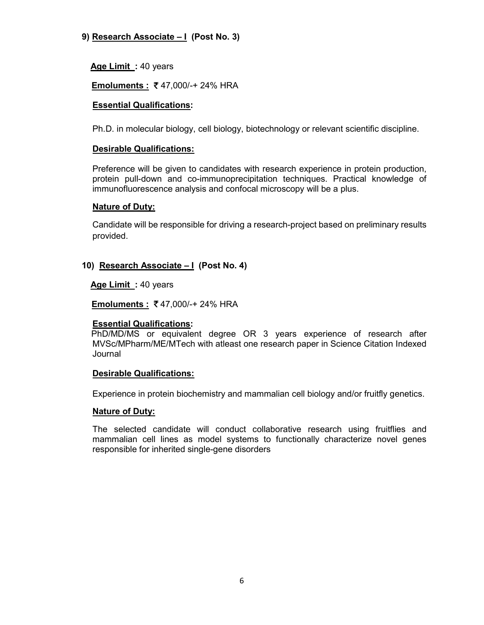# 9) Research Associate – I (Post No. 3)

Age Limit : 40 years

# Emoluments : ₹47,000/-+24% HRA

## Essential Qualifications:

Ph.D. in molecular biology, cell biology, biotechnology or relevant scientific discipline.

## Desirable Qualifications:

Preference will be given to candidates with research experience in protein production, protein pull-down and co-immunoprecipitation techniques. Practical knowledge of immunofluorescence analysis and confocal microscopy will be a plus.

### Nature of Duty:

Candidate will be responsible for driving a research-project based on preliminary results provided.

# 10) Research Associate – I (Post No. 4)

Age Limit: 40 years

Emoluments : 47,000/-+ 24% HRA

### Essential Qualifications:

 PhD/MD/MS or equivalent degree OR 3 years experience of research after MVSc/MPharm/ME/MTech with atleast one research paper in Science Citation Indexed Journal

### Desirable Qualifications:

Experience in protein biochemistry and mammalian cell biology and/or fruitfly genetics.

#### Nature of Duty:

The selected candidate will conduct collaborative research using fruitflies and mammalian cell lines as model systems to functionally characterize novel genes responsible for inherited single-gene disorders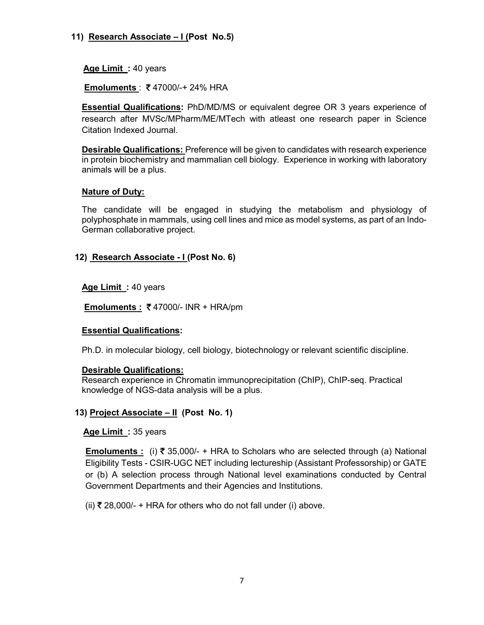# 11) Research Associate – I (Post No.5)

Age Limit : 40 years

Emoluments : 47000/-+ 24% HRA

Essential Qualifications: PhD/MD/MS or equivalent degree OR 3 years experience of research after MVSc/MPharm/ME/MTech with atleast one research paper in Science Citation Indexed Journal.

Desirable Qualifications: Preference will be given to candidates with research experience in protein biochemistry and mammalian cell biology. Experience in working with laboratory animals will be a plus.

### Nature of Duty:

The candidate will be engaged in studying the metabolism and physiology of polyphosphate in mammals, using cell lines and mice as model systems, as part of an Indo-German collaborative project.

### 12) Research Associate - I (Post No. 6)

Age Limit : 40 years

Emoluments :  $\overline{\xi}$  47000/- INR + HRA/pm

### Essential Qualifications:

Ph.D. in molecular biology, cell biology, biotechnology or relevant scientific discipline.

#### Desirable Qualifications:

Research experience in Chromatin immunoprecipitation (ChIP), ChIP-seq. Practical knowledge of NGS-data analysis will be a plus.

### 13) Project Associate – II (Post No. 1)

Age Limit: 35 years

**<u>Emoluments :</u>** (i) ₹ 35,000/- + HRA to Scholars who are selected through (a) National Eligibility Tests - CSIR-UGC NET including lectureship (Assistant Professorship) or GATE or (b) A selection process through National level examinations conducted by Central Government Departments and their Agencies and Institutions.

(ii)  $\overline{\tau}$  28,000/- + HRA for others who do not fall under (i) above.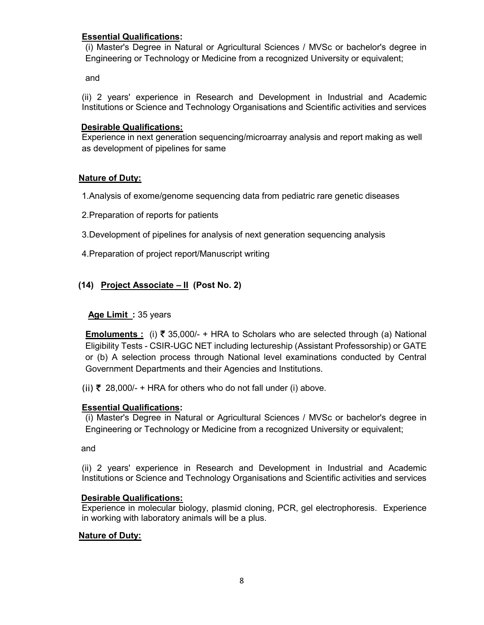# Essential Qualifications:

(i) Master's Degree in Natural or Agricultural Sciences / MVSc or bachelor's degree in Engineering or Technology or Medicine from a recognized University or equivalent;

and

(ii) 2 years' experience in Research and Development in Industrial and Academic Institutions or Science and Technology Organisations and Scientific activities and services

# Desirable Qualifications:

Experience in next generation sequencing/microarray analysis and report making as well as development of pipelines for same

# **Nature of Duty:**

1.Analysis of exome/genome sequencing data from pediatric rare genetic diseases

2.Preparation of reports for patients

- 3.Development of pipelines for analysis of next generation sequencing analysis
- 4.Preparation of project report/Manuscript writing

# (14) Project Associate – II (Post No. 2)

## Age Limit: 35 years

Emoluments : (i) ₹ 35,000/- + HRA to Scholars who are selected through (a) National Eligibility Tests - CSIR-UGC NET including lectureship (Assistant Professorship) or GATE or (b) A selection process through National level examinations conducted by Central Government Departments and their Agencies and Institutions.

(ii)  $\overline{\zeta}$  28,000/- + HRA for others who do not fall under (i) above.

### Essential Qualifications:

(i) Master's Degree in Natural or Agricultural Sciences / MVSc or bachelor's degree in Engineering or Technology or Medicine from a recognized University or equivalent;

and

(ii) 2 years' experience in Research and Development in Industrial and Academic Institutions or Science and Technology Organisations and Scientific activities and services

### Desirable Qualifications:

Experience in molecular biology, plasmid cloning, PCR, gel electrophoresis. Experience in working with laboratory animals will be a plus.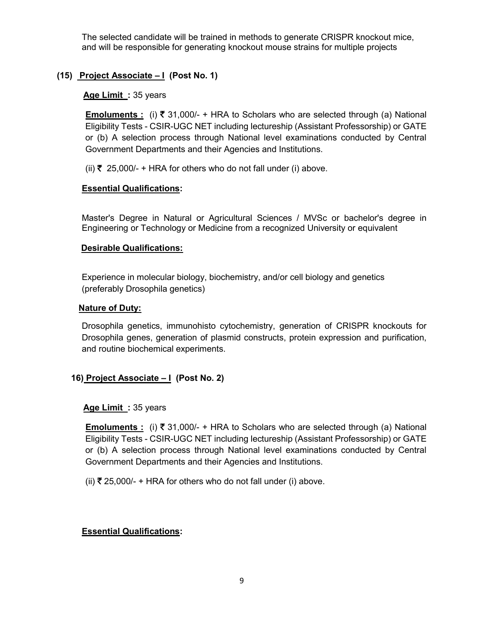The selected candidate will be trained in methods to generate CRISPR knockout mice, and will be responsible for generating knockout mouse strains for multiple projects

# (15) Project Associate  $-1$  (Post No. 1)

Age Limit: 35 years

**Emoluments** : (i)  $\bar{\xi}$  31,000/- + HRA to Scholars who are selected through (a) National Eligibility Tests - CSIR-UGC NET including lectureship (Assistant Professorship) or GATE or (b) A selection process through National level examinations conducted by Central Government Departments and their Agencies and Institutions.

(ii)  $\overline{\xi}$  25,000/- + HRA for others who do not fall under (i) above.

### Essential Qualifications:

Master's Degree in Natural or Agricultural Sciences / MVSc or bachelor's degree in Engineering or Technology or Medicine from a recognized University or equivalent

#### Desirable Qualifications:

Experience in molecular biology, biochemistry, and/or cell biology and genetics (preferably Drosophila genetics)

#### **Nature of Duty:**

Drosophila genetics, immunohisto cytochemistry, generation of CRISPR knockouts for Drosophila genes, generation of plasmid constructs, protein expression and purification, and routine biochemical experiments.

### 16) Project Associate – I (Post No. 2)

#### Age Limit: 35 years

**<u>Emoluments :</u>** (i) ₹ 31,000/- + HRA to Scholars who are selected through (a) National Eligibility Tests - CSIR-UGC NET including lectureship (Assistant Professorship) or GATE or (b) A selection process through National level examinations conducted by Central Government Departments and their Agencies and Institutions.

(ii)  $\overline{\tau}$  25,000/- + HRA for others who do not fall under (i) above.

### Essential Qualifications: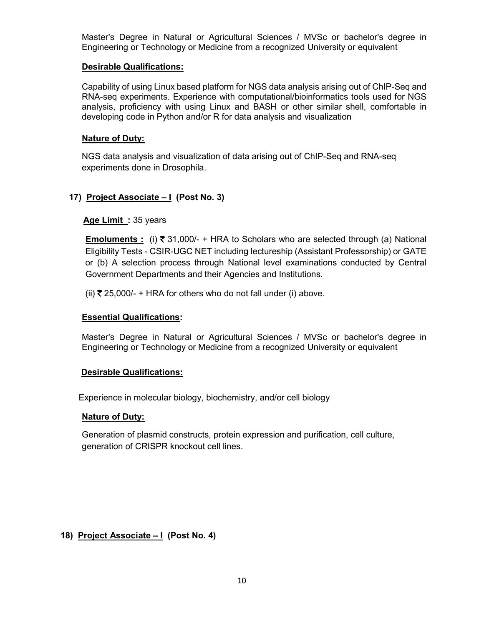Master's Degree in Natural or Agricultural Sciences / MVSc or bachelor's degree in Engineering or Technology or Medicine from a recognized University or equivalent

#### Desirable Qualifications:

Capability of using Linux based platform for NGS data analysis arising out of ChIP-Seq and RNA-seq experiments. Experience with computational/bioinformatics tools used for NGS analysis, proficiency with using Linux and BASH or other similar shell, comfortable in developing code in Python and/or R for data analysis and visualization

#### **Nature of Duty:**

NGS data analysis and visualization of data arising out of ChIP-Seq and RNA-seq experiments done in Drosophila.

### 17) Project Associate – I (Post No. 3)

### Age Limit: 35 years

Emoluments : (i) ₹ 31,000/- + HRA to Scholars who are selected through (a) National Eligibility Tests - CSIR-UGC NET including lectureship (Assistant Professorship) or GATE or (b) A selection process through National level examinations conducted by Central Government Departments and their Agencies and Institutions.

(ii)  $\overline{\xi}$  25,000/- + HRA for others who do not fall under (i) above.

#### Essential Qualifications:

Master's Degree in Natural or Agricultural Sciences / MVSc or bachelor's degree in Engineering or Technology or Medicine from a recognized University or equivalent

#### Desirable Qualifications:

Experience in molecular biology, biochemistry, and/or cell biology

#### Nature of Duty:

Generation of plasmid constructs, protein expression and purification, cell culture, generation of CRISPR knockout cell lines.

### 18) Project Associate – I (Post No. 4)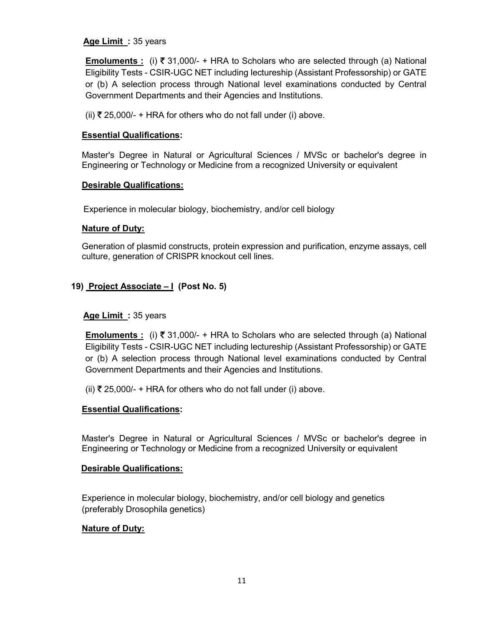### Age Limit: 35 years

**Emoluments :** (i)  $\bar{\tau}$  31,000/- + HRA to Scholars who are selected through (a) National Eligibility Tests - CSIR-UGC NET including lectureship (Assistant Professorship) or GATE or (b) A selection process through National level examinations conducted by Central Government Departments and their Agencies and Institutions.

(ii)  $\overline{\xi}$  25,000/- + HRA for others who do not fall under (i) above.

#### Essential Qualifications:

Master's Degree in Natural or Agricultural Sciences / MVSc or bachelor's degree in Engineering or Technology or Medicine from a recognized University or equivalent

#### Desirable Qualifications:

Experience in molecular biology, biochemistry, and/or cell biology

#### Nature of Duty:

Generation of plasmid constructs, protein expression and purification, enzyme assays, cell culture, generation of CRISPR knockout cell lines.

# 19) Project Associate – I (Post No. 5)

### Age Limit: 35 years

Emoluments : (i) ₹ 31,000/- + HRA to Scholars who are selected through (a) National Eligibility Tests - CSIR-UGC NET including lectureship (Assistant Professorship) or GATE or (b) A selection process through National level examinations conducted by Central Government Departments and their Agencies and Institutions.

(ii) ₹ 25,000/- + HRA for others who do not fall under (i) above.

### Essential Qualifications:

Master's Degree in Natural or Agricultural Sciences / MVSc or bachelor's degree in Engineering or Technology or Medicine from a recognized University or equivalent

#### Desirable Qualifications:

Experience in molecular biology, biochemistry, and/or cell biology and genetics (preferably Drosophila genetics)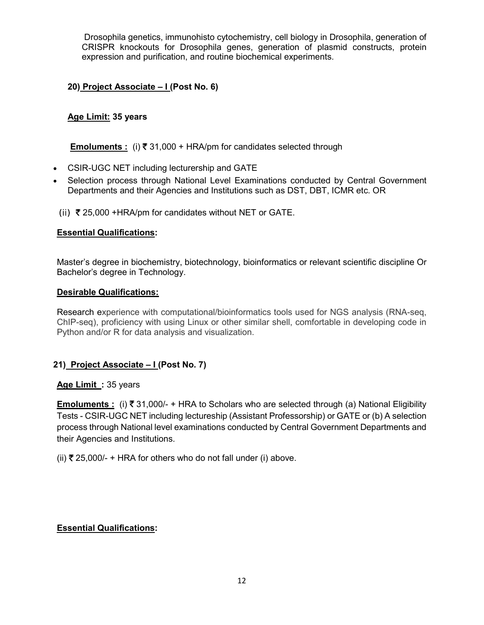Drosophila genetics, immunohisto cytochemistry, cell biology in Drosophila, generation of CRISPR knockouts for Drosophila genes, generation of plasmid constructs, protein expression and purification, and routine biochemical experiments.

# 20) Project Associate - I (Post No. 6)

# Age Limit: 35 years

Emoluments : (i)  $\bar{\tau}$  31,000 + HRA/pm for candidates selected through

- CSIR-UGC NET including lecturership and GATE
- Selection process through National Level Examinations conducted by Central Government Departments and their Agencies and Institutions such as DST, DBT, ICMR etc. OR
- (ii)  $\overline{\xi}$  25,000 +HRA/pm for candidates without NET or GATE.

### Essential Qualifications:

Master's degree in biochemistry, biotechnology, bioinformatics or relevant scientific discipline Or Bachelor's degree in Technology.

#### Desirable Qualifications:

Research experience with computational/bioinformatics tools used for NGS analysis (RNA-seq, ChIP-seq), proficiency with using Linux or other similar shell, comfortable in developing code in Python and/or R for data analysis and visualization.

### 21) Project Associate – I (Post No. 7)

#### Age Limit : 35 years

**Emoluments** : (i)  $\overline{x}$  31,000/- + HRA to Scholars who are selected through (a) National Eligibility Tests - CSIR-UGC NET including lectureship (Assistant Professorship) or GATE or (b) A selection process through National level examinations conducted by Central Government Departments and their Agencies and Institutions.

(ii)  $\overline{\xi}$  25,000/- + HRA for others who do not fall under (i) above.

### Essential Qualifications: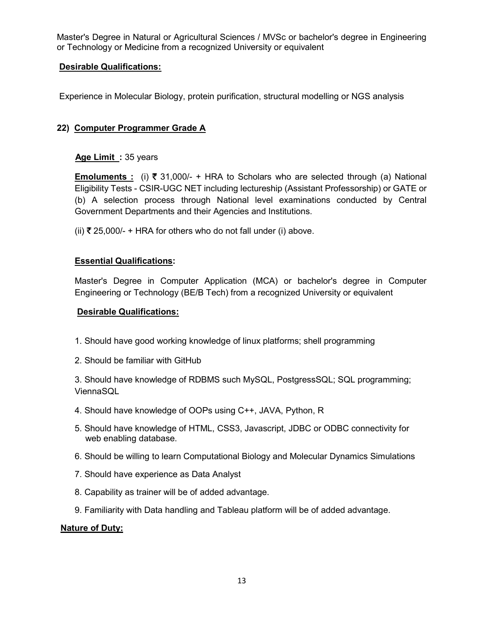Master's Degree in Natural or Agricultural Sciences / MVSc or bachelor's degree in Engineering or Technology or Medicine from a recognized University or equivalent

### Desirable Qualifications:

Experience in Molecular Biology, protein purification, structural modelling or NGS analysis

### 22) Computer Programmer Grade A

#### Age Limit : 35 years

**Emoluments**: (i)  $\bar{x}$  31,000/- + HRA to Scholars who are selected through (a) National Eligibility Tests - CSIR-UGC NET including lectureship (Assistant Professorship) or GATE or (b) A selection process through National level examinations conducted by Central Government Departments and their Agencies and Institutions.

(ii)  $\overline{\xi}$  25,000/- + HRA for others who do not fall under (i) above.

#### Essential Qualifications:

Master's Degree in Computer Application (MCA) or bachelor's degree in Computer Engineering or Technology (BE/B Tech) from a recognized University or equivalent

#### Desirable Qualifications:

- 1. Should have good working knowledge of linux platforms; shell programming
- 2. Should be familiar with GitHub

3. Should have knowledge of RDBMS such MySQL, PostgressSQL; SQL programming; ViennaSQL

- 4. Should have knowledge of OOPs using C++, JAVA, Python, R
- 5. Should have knowledge of HTML, CSS3, Javascript, JDBC or ODBC connectivity for web enabling database.
- 6. Should be willing to learn Computational Biology and Molecular Dynamics Simulations
- 7. Should have experience as Data Analyst
- 8. Capability as trainer will be of added advantage.
- 9. Familiarity with Data handling and Tableau platform will be of added advantage.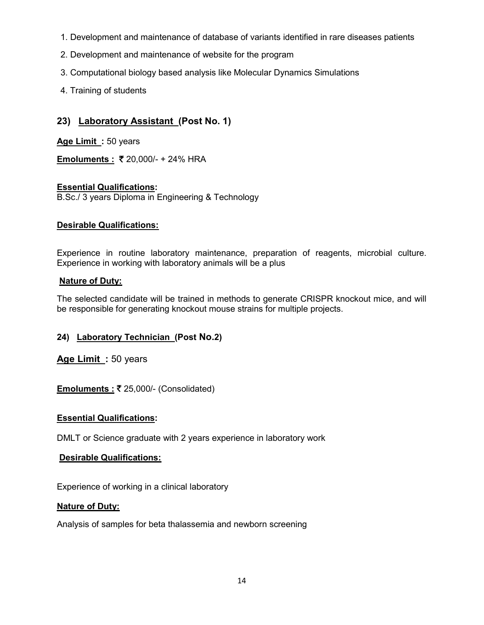- 1. Development and maintenance of database of variants identified in rare diseases patients
- 2. Development and maintenance of website for the program
- 3. Computational biology based analysis like Molecular Dynamics Simulations
- 4. Training of students

# 23) Laboratory Assistant (Post No. 1)

Age Limit: 50 years

Emoluments : ₹ 20,000/- + 24% HRA

# Essential Qualifications:

B.Sc./ 3 years Diploma in Engineering & Technology

# Desirable Qualifications:

Experience in routine laboratory maintenance, preparation of reagents, microbial culture. Experience in working with laboratory animals will be a plus

# **Nature of Duty:**

The selected candidate will be trained in methods to generate CRISPR knockout mice, and will be responsible for generating knockout mouse strains for multiple projects.

# 24) Laboratory Technician (Post No.2)

Age Limit: 50 years

Emoluments : ₹ 25,000/- (Consolidated)

### Essential Qualifications:

DMLT or Science graduate with 2 years experience in laboratory work

### Desirable Qualifications:

Experience of working in a clinical laboratory

### Nature of Duty:

Analysis of samples for beta thalassemia and newborn screening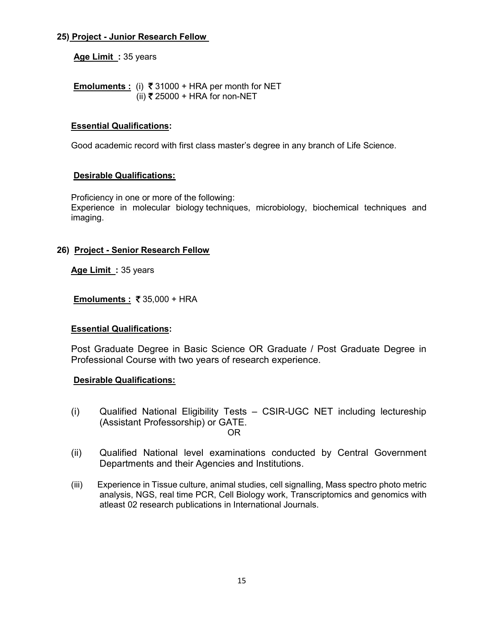# 25) Project - Junior Research Fellow

Age Limit: 35 years

Emoluments: (i)  $\overline{\xi}$  31000 + HRA per month for NET (ii)  $₹ 25000 + HRA$  for non-NET

# Essential Qualifications:

Good academic record with first class master's degree in any branch of Life Science.

# Desirable Qualifications:

Proficiency in one or more of the following: Experience in molecular biology techniques, microbiology, biochemical techniques and imaging.

# 26) Project - Senior Research Fellow

Age Limit: 35 years

Emoluments : ₹35,000 + HRA

### Essential Qualifications:

Post Graduate Degree in Basic Science OR Graduate / Post Graduate Degree in Professional Course with two years of research experience.

### Desirable Qualifications:

- (i) Qualified National Eligibility Tests CSIR-UGC NET including lectureship (Assistant Professorship) or GATE. OR
- (ii) Qualified National level examinations conducted by Central Government Departments and their Agencies and Institutions.
- (iii) Experience in Tissue culture, animal studies, cell signalling, Mass spectro photo metric analysis, NGS, real time PCR, Cell Biology work, Transcriptomics and genomics with atleast 02 research publications in International Journals.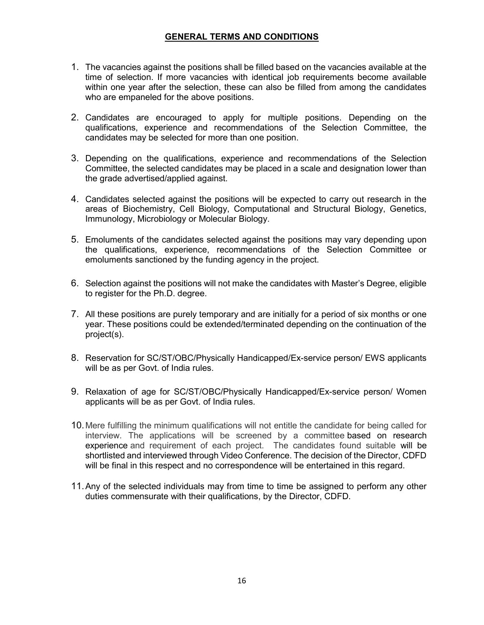## GENERAL TERMS AND CONDITIONS

- 1. The vacancies against the positions shall be filled based on the vacancies available at the time of selection. If more vacancies with identical job requirements become available within one year after the selection, these can also be filled from among the candidates who are empaneled for the above positions.
- 2. Candidates are encouraged to apply for multiple positions. Depending on the qualifications, experience and recommendations of the Selection Committee, the candidates may be selected for more than one position.
- 3. Depending on the qualifications, experience and recommendations of the Selection Committee, the selected candidates may be placed in a scale and designation lower than the grade advertised/applied against.
- 4. Candidates selected against the positions will be expected to carry out research in the areas of Biochemistry, Cell Biology, Computational and Structural Biology, Genetics, Immunology, Microbiology or Molecular Biology.
- 5. Emoluments of the candidates selected against the positions may vary depending upon the qualifications, experience, recommendations of the Selection Committee or emoluments sanctioned by the funding agency in the project.
- 6. Selection against the positions will not make the candidates with Master's Degree, eligible to register for the Ph.D. degree.
- 7. All these positions are purely temporary and are initially for a period of six months or one year. These positions could be extended/terminated depending on the continuation of the project(s).
- 8. Reservation for SC/ST/OBC/Physically Handicapped/Ex-service person/ EWS applicants will be as per Govt. of India rules.
- 9. Relaxation of age for SC/ST/OBC/Physically Handicapped/Ex-service person/ Women applicants will be as per Govt. of India rules.
- 10. Mere fulfilling the minimum qualifications will not entitle the candidate for being called for interview. The applications will be screened by a committee based on research experience and requirement of each project. The candidates found suitable will be shortlisted and interviewed through Video Conference. The decision of the Director, CDFD will be final in this respect and no correspondence will be entertained in this regard.
- 11. Any of the selected individuals may from time to time be assigned to perform any other duties commensurate with their qualifications, by the Director, CDFD.